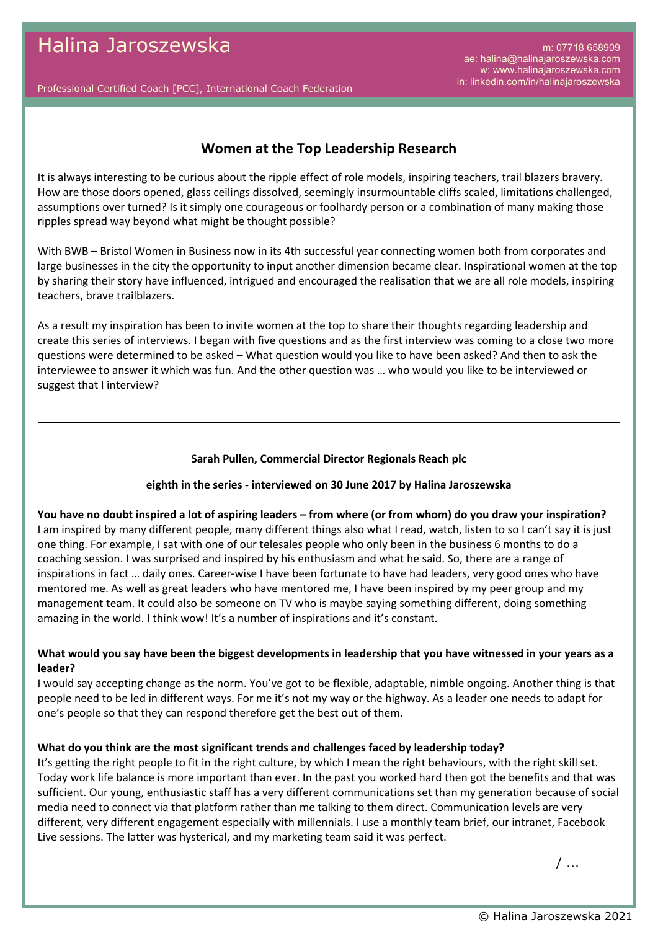m: 07718 658909 ae: halina@halinajaroszewska.com w: www.halinajaroszewska.com in: linkedin.com/in/halinajaroszewska

Professional Certified Coach [PCC], International Coach Federation

## **Women at the Top Leadership Research**

It is always interesting to be curious about the ripple effect of role models, inspiring teachers, trail blazers bravery. How are those doors opened, glass ceilings dissolved, seemingly insurmountable cliffs scaled, limitations challenged, assumptions over turned? Is it simply one courageous or foolhardy person or a combination of many making those ripples spread way beyond what might be thought possible?

With BWB – Bristol Women in Business now in its 4th successful year connecting women both from corporates and large businesses in the city the opportunity to input another dimension became clear. Inspirational women at the top by sharing their story have influenced, intrigued and encouraged the realisation that we are all role models, inspiring teachers, brave trailblazers.

As a result my inspiration has been to invite women at the top to share their thoughts regarding leadership and create this series of interviews. I began with five questions and as the first interview was coming to a close two more questions were determined to be asked – What question would you like to have been asked? And then to ask the interviewee to answer it which was fun. And the other question was … who would you like to be interviewed or suggest that I interview?

## **Sarah Pullen, Commercial Director Regionals Reach plc**

## **eighth in the series - interviewed on 30 June 2017 by Halina Jaroszewska**

## **You have no doubt inspired a lot of aspiring leaders – from where (or from whom) do you draw your inspiration?**

I am inspired by many different people, many different things also what I read, watch, listen to so I can't say it is just one thing. For example, I sat with one of our telesales people who only been in the business 6 months to do a coaching session. I was surprised and inspired by his enthusiasm and what he said. So, there are a range of inspirations in fact … daily ones. Career-wise I have been fortunate to have had leaders, very good ones who have mentored me. As well as great leaders who have mentored me, I have been inspired by my peer group and my management team. It could also be someone on TV who is maybe saying something different, doing something amazing in the world. I think wow! It's a number of inspirations and it's constant.

## **What would you say have been the biggest developments in leadership that you have witnessed in your years as a leader?**

I would say accepting change as the norm. You've got to be flexible, adaptable, nimble ongoing. Another thing is that people need to be led in different ways. For me it's not my way or the highway. As a leader one needs to adapt for one's people so that they can respond therefore get the best out of them.

## **What do you think are the most significant trends and challenges faced by leadership today?**

It's getting the right people to fit in the right culture, by which I mean the right behaviours, with the right skill set. Today work life balance is more important than ever. In the past you worked hard then got the benefits and that was sufficient. Our young, enthusiastic staff has a very different communications set than my generation because of social media need to connect via that platform rather than me talking to them direct. Communication levels are very different, very different engagement especially with millennials. I use a monthly team brief, our intranet, Facebook Live sessions. The latter was hysterical, and my marketing team said it was perfect.

/ ...